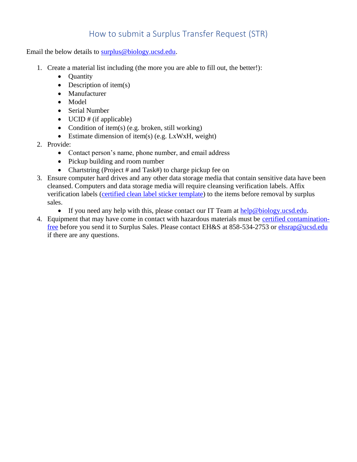## How to submit a Surplus Transfer Request (STR)

Email the below details to [surplus@biology.ucsd.edu.](mailto:surplus@biology.ucsd.edu)

- 1. Create a material list including (the more you are able to fill out, the better!):
	- Quantity
	- Description of item $(s)$
	- Manufacturer
	- Model
	- Serial Number
	- UCID  $#$  (if applicable)
	- Condition of item(s) (e.g. broken, still working)
	- Estimate dimension of item(s) (e.g. LxWxH, weight)
- 2. Provide:
	- Contact person's name, phone number, and email address
	- Pickup building and room number
	- Chartstring (Project # and Task#) to charge pickup fee on
- 3. Ensure computer hard drives and any other data storage media that contain sensitive data have been cleansed. Computers and data storage media will require cleansing verification labels. Affix verification labels [\(certified clean label sticker template\)](https://blink.ucsd.edu/_files/technology-tab/security/CleanDiskLabel.pdf) to the items before removal by surplus sales.
	- If you need any help with this, please contact our IT Team at [help@biology.ucsd.edu.](mailto:help@biology.ucsd.edu)
- 4. Equipment that may have come in contact with hazardous materials must be [certified contamination](https://blink.ucsd.edu/safety/research-lab/laboratory/clearance.html)[free](https://blink.ucsd.edu/safety/research-lab/laboratory/clearance.html) before you send it to Surplus Sales. Please contact EH&S at 858-534-2753 or [ehsrap@ucsd.edu](mailto:ehsrap@ucsd.edu) if there are any questions.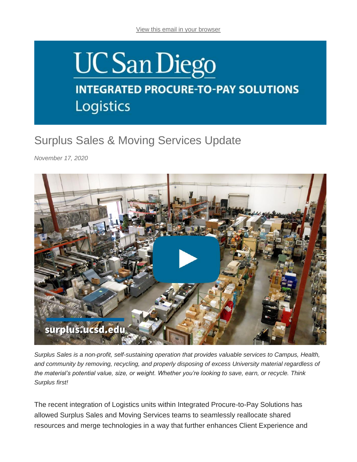## **UCSan Diego INTEGRATED PROCURE-TO-PAY SOLUTIONS** Logistics

## Surplus Sales & Moving Services Update

*November 17, 2020*



*Surplus Sales is a non-profit, self-sustaining operation that provides valuable services to Campus, Health, and community by removing, recycling, and properly disposing of excess University material regardless of the material's potential value, size, or weight. Whether you're looking to save, earn, or recycle. Think Surplus first!*

The recent integration of Logistics units within Integrated Procure-to-Pay Solutions has allowed Surplus Sales and Moving Services teams to seamlessly reallocate shared resources and merge technologies in a way that further enhances Client Experience and